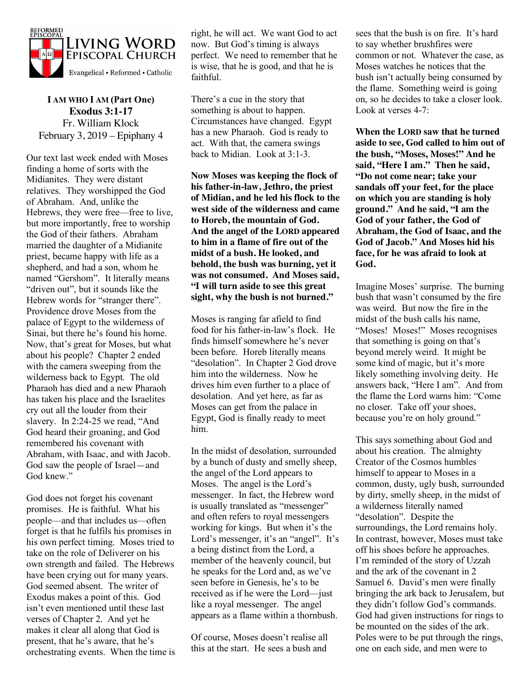

**I AM WHO I AM (Part One) Exodus 3:1-17** Fr. William Klock February 3, 2019 – Epiphany 4

Our text last week ended with Moses finding a home of sorts with the Midianites. They were distant relatives. They worshipped the God of Abraham. And, unlike the Hebrews, they were free—free to live, but more importantly, free to worship the God of their fathers. Abraham married the daughter of a Midianite priest, became happy with life as a shepherd, and had a son, whom he named "Gershom". It literally means "driven out", but it sounds like the Hebrew words for "stranger there". Providence drove Moses from the palace of Egypt to the wilderness of Sinai, but there he's found his home. Now, that's great for Moses, but what about his people? Chapter 2 ended with the camera sweeping from the wilderness back to Egypt. The old Pharaoh has died and a new Pharaoh has taken his place and the Israelites cry out all the louder from their slavery. In 2:24-25 we read, "And God heard their groaning, and God remembered his covenant with Abraham, with Isaac, and with Jacob. God saw the people of Israel—and God knew."

God does not forget his covenant promises. He is faithful. What his people—and that includes us—often forget is that he fulfils his promises in his own perfect timing. Moses tried to take on the role of Deliverer on his own strength and failed. The Hebrews have been crying out for many years. God seemed absent. The writer of Exodus makes a point of this. God isn't even mentioned until these last verses of Chapter 2. And yet he makes it clear all along that God is present, that he's aware, that he's orchestrating events. When the time is right, he will act. We want God to act now. But God's timing is always perfect. We need to remember that he is wise, that he is good, and that he is faithful.

There's a cue in the story that something is about to happen. Circumstances have changed. Egypt has a new Pharaoh. God is ready to act. With that, the camera swings back to Midian. Look at 3:1-3.

**Now Moses was keeping the flock of his father-in-law, Jethro, the priest of Midian, and he led his flock to the west side of the wilderness and came to Horeb, the mountain of God. And the angel of the LORD appeared to him in a flame of fire out of the midst of a bush. He looked, and behold, the bush was burning, yet it was not consumed. And Moses said, "I will turn aside to see this great sight, why the bush is not burned."**

Moses is ranging far afield to find food for his father-in-law's flock. He finds himself somewhere he's never been before. Horeb literally means "desolation". In Chapter 2 God drove him into the wilderness. Now he drives him even further to a place of desolation. And yet here, as far as Moses can get from the palace in Egypt, God is finally ready to meet him.

In the midst of desolation, surrounded by a bunch of dusty and smelly sheep, the angel of the Lord appears to Moses. The angel is the Lord's messenger. In fact, the Hebrew word is usually translated as "messenger" and often refers to royal messengers working for kings. But when it's the Lord's messenger, it's an "angel". It's a being distinct from the Lord, a member of the heavenly council, but he speaks for the Lord and, as we've seen before in Genesis, he's to be received as if he were the Lord—just like a royal messenger. The angel appears as a flame within a thornbush.

Of course, Moses doesn't realise all this at the start. He sees a bush and

sees that the bush is on fire. It's hard to say whether brushfires were common or not. Whatever the case, as Moses watches he notices that the bush isn't actually being consumed by the flame. Something weird is going on, so he decides to take a closer look. Look at verses 4-7:

**When the LORD saw that he turned aside to see, God called to him out of the bush, "Moses, Moses!" And he said, "Here I am." Then he said, "Do not come near; take your sandals off your feet, for the place on which you are standing is holy ground." And he said, "I am the God of your father, the God of Abraham, the God of Isaac, and the God of Jacob." And Moses hid his face, for he was afraid to look at God.**

Imagine Moses' surprise. The burning bush that wasn't consumed by the fire was weird. But now the fire in the midst of the bush calls his name, "Moses! Moses!" Moses recognises that something is going on that's beyond merely weird. It might be some kind of magic, but it's more likely something involving deity. He answers back, "Here I am". And from the flame the Lord warns him: "Come no closer. Take off your shoes, because you're on holy ground."

This says something about God and about his creation. The almighty Creator of the Cosmos humbles himself to appear to Moses in a common, dusty, ugly bush, surrounded by dirty, smelly sheep, in the midst of a wilderness literally named "desolation". Despite the surroundings, the Lord remains holy. In contrast, however, Moses must take off his shoes before he approaches. I'm reminded of the story of Uzzah and the ark of the covenant in 2 Samuel 6. David's men were finally bringing the ark back to Jerusalem, but they didn't follow God's commands. God had given instructions for rings to be mounted on the sides of the ark. Poles were to be put through the rings, one on each side, and men were to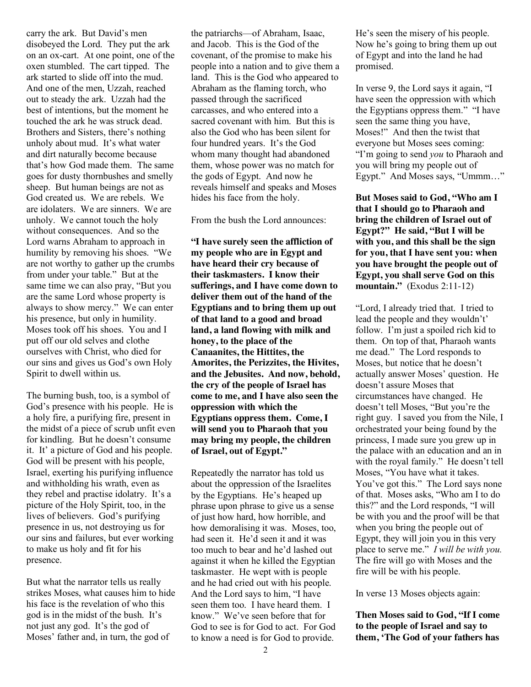carry the ark. But David's men disobeyed the Lord. They put the ark on an ox-cart. At one point, one of the oxen stumbled. The cart tipped. The ark started to slide off into the mud. And one of the men, Uzzah, reached out to steady the ark. Uzzah had the best of intentions, but the moment he touched the ark he was struck dead. Brothers and Sisters, there's nothing unholy about mud. It's what water and dirt naturally become because that's how God made them. The same goes for dusty thornbushes and smelly sheep. But human beings are not as God created us. We are rebels. We are idolaters. We are sinners. We are unholy. We cannot touch the holy without consequences. And so the Lord warns Abraham to approach in humility by removing his shoes. "We are not worthy to gather up the crumbs from under your table." But at the same time we can also pray, "But you are the same Lord whose property is always to show mercy." We can enter his presence, but only in humility. Moses took off his shoes. You and I put off our old selves and clothe ourselves with Christ, who died for our sins and gives us God's own Holy Spirit to dwell within us.

The burning bush, too, is a symbol of God's presence with his people. He is a holy fire, a purifying fire, present in the midst of a piece of scrub unfit even for kindling. But he doesn't consume it. It' a picture of God and his people. God will be present with his people, Israel, exerting his purifying influence and withholding his wrath, even as they rebel and practise idolatry. It's a picture of the Holy Spirit, too, in the lives of believers. God's purifying presence in us, not destroying us for our sins and failures, but ever working to make us holy and fit for his presence.

But what the narrator tells us really strikes Moses, what causes him to hide his face is the revelation of who this god is in the midst of the bush. It's not just any god. It's the god of Moses' father and, in turn, the god of

the patriarchs—of Abraham, Isaac, and Jacob. This is the God of the covenant, of the promise to make his people into a nation and to give them a land. This is the God who appeared to Abraham as the flaming torch, who passed through the sacrificed carcasses, and who entered into a sacred covenant with him. But this is also the God who has been silent for four hundred years. It's the God whom many thought had abandoned them, whose power was no match for the gods of Egypt. And now he reveals himself and speaks and Moses hides his face from the holy.

From the bush the Lord announces:

**"I have surely seen the affliction of my people who are in Egypt and have heard their cry because of their taskmasters. I know their sufferings, and I have come down to deliver them out of the hand of the Egyptians and to bring them up out of that land to a good and broad land, a land flowing with milk and honey, to the place of the Canaanites, the Hittites, the Amorites, the Perizzites, the Hivites, and the Jebusites. And now, behold, the cry of the people of Israel has come to me, and I have also seen the oppression with which the Egyptians oppress them. Come, I will send you to Pharaoh that you may bring my people, the children of Israel, out of Egypt."**

Repeatedly the narrator has told us about the oppression of the Israelites by the Egyptians. He's heaped up phrase upon phrase to give us a sense of just how hard, how horrible, and how demoralising it was. Moses, too, had seen it. He'd seen it and it was too much to bear and he'd lashed out against it when he killed the Egyptian taskmaster. He wept with is people and he had cried out with his people. And the Lord says to him, "I have seen them too. I have heard them. I know." We've seen before that for God to see is for God to act. For God to know a need is for God to provide.

He's seen the misery of his people. Now he's going to bring them up out of Egypt and into the land he had promised.

In verse 9, the Lord says it again, "I have seen the oppression with which the Egyptians oppress them." "I have seen the same thing you have, Moses!" And then the twist that everyone but Moses sees coming: "I'm going to send *you* to Pharaoh and you will bring my people out of Egypt." And Moses says, "Ummm…"

**But Moses said to God, "Who am I that I should go to Pharaoh and bring the children of Israel out of Egypt?" He said, "But I will be with you, and this shall be the sign for you, that I have sent you: when you have brought the people out of Egypt, you shall serve God on this mountain."** (Exodus 2:11-12)

"Lord, I already tried that. I tried to lead the people and they wouldn't' follow. I'm just a spoiled rich kid to them. On top of that, Pharaoh wants me dead." The Lord responds to Moses, but notice that he doesn't actually answer Moses' question. He doesn't assure Moses that circumstances have changed. He doesn't tell Moses, "But you're the right guy. I saved you from the Nile, I orchestrated your being found by the princess, I made sure you grew up in the palace with an education and an in with the royal family." He doesn't tell Moses, "You have what it takes. You've got this." The Lord says none of that. Moses asks, "Who am I to do this?" and the Lord responds, "I will be with you and the proof will be that when you bring the people out of Egypt, they will join you in this very place to serve me." *I will be with you.* The fire will go with Moses and the fire will be with his people.

In verse 13 Moses objects again:

**Then Moses said to God, "If I come to the people of Israel and say to them, 'The God of your fathers has**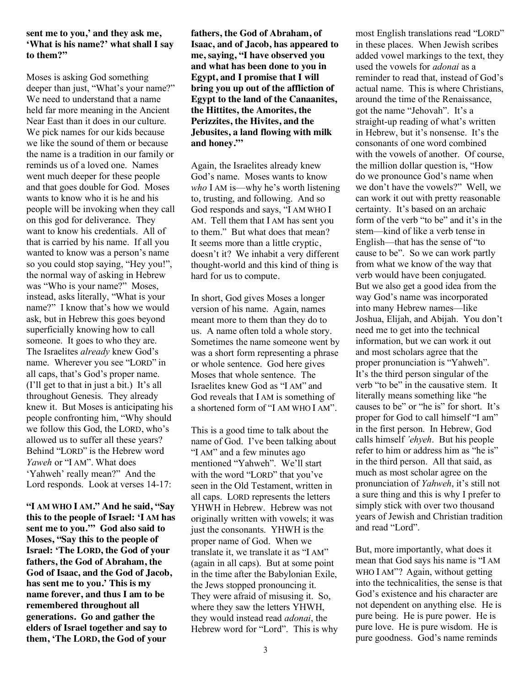## **sent me to you,' and they ask me, 'What is his name?' what shall I say to them?"**

Moses is asking God something deeper than just, "What's your name?" We need to understand that a name held far more meaning in the Ancient Near East than it does in our culture. We pick names for our kids because we like the sound of them or because the name is a tradition in our family or reminds us of a loved one. Names went much deeper for these people and that goes double for God. Moses wants to know who it is he and his people will be invoking when they call on this god for deliverance. They want to know his credentials. All of that is carried by his name. If all you wanted to know was a person's name so you could stop saying, "Hey you!", the normal way of asking in Hebrew was "Who is your name?" Moses, instead, asks literally, "What is your name?" I know that's how we would ask, but in Hebrew this goes beyond superficially knowing how to call someone. It goes to who they are. The Israelites *already* knew God's name. Wherever you see "LORD" in all caps, that's God's proper name. (I'll get to that in just a bit.) It's all throughout Genesis. They already knew it. But Moses is anticipating his people confronting him, "Why should we follow this God, the LORD, who's allowed us to suffer all these years? Behind "LORD" is the Hebrew word *Yaweh* or "I AM". What does 'Yahweh' really mean?" And the Lord responds. Look at verses 14-17:

**"I AM WHO I AM." And he said, "Say this to the people of Israel: 'I AM has sent me to you.'" God also said to Moses, "Say this to the people of Israel: 'The LORD, the God of your fathers, the God of Abraham, the God of Isaac, and the God of Jacob, has sent me to you.' This is my name forever, and thus I am to be remembered throughout all generations. Go and gather the elders of Israel together and say to them, 'The LORD, the God of your** 

**fathers, the God of Abraham, of Isaac, and of Jacob, has appeared to me, saying, "I have observed you and what has been done to you in Egypt, and I promise that I will bring you up out of the affliction of Egypt to the land of the Canaanites, the Hittites, the Amorites, the Perizzites, the Hivites, and the Jebusites, a land flowing with milk and honey."'**

Again, the Israelites already knew God's name. Moses wants to know *who* I AM is—why he's worth listening to, trusting, and following. And so God responds and says, "I AM WHO I AM. Tell them that I AM has sent you to them." But what does that mean? It seems more than a little cryptic, doesn't it? We inhabit a very different thought-world and this kind of thing is hard for us to compute.

In short, God gives Moses a longer version of his name. Again, names meant more to them than they do to us. A name often told a whole story. Sometimes the name someone went by was a short form representing a phrase or whole sentence. God here gives Moses that whole sentence. The Israelites knew God as "I AM" and God reveals that I AM is something of a shortened form of "I AM WHO I AM".

This is a good time to talk about the name of God. I've been talking about "I AM" and a few minutes ago mentioned "Yahweh". We'll start with the word "LORD" that you've seen in the Old Testament, written in all caps. LORD represents the letters YHWH in Hebrew. Hebrew was not originally written with vowels; it was just the consonants. YHWH is the proper name of God. When we translate it, we translate it as "I AM" (again in all caps). But at some point in the time after the Babylonian Exile, the Jews stopped pronouncing it. They were afraid of misusing it. So, where they saw the letters YHWH, they would instead read *adonai*, the Hebrew word for "Lord". This is why

most English translations read "LORD" in these places. When Jewish scribes added vowel markings to the text, they used the vowels for *adonai* as a reminder to read that, instead of God's actual name. This is where Christians, around the time of the Renaissance, got the name "Jehovah". It's a straight-up reading of what's written in Hebrew, but it's nonsense. It's the consonants of one word combined with the vowels of another. Of course, the million dollar question is, "How do we pronounce God's name when we don't have the vowels?" Well, we can work it out with pretty reasonable certainty. It's based on an archaic form of the verb "to be" and it's in the stem—kind of like a verb tense in English—that has the sense of "to cause to be". So we can work partly from what we know of the way that verb would have been conjugated. But we also get a good idea from the way God's name was incorporated into many Hebrew names—like Joshua, Elijah, and Abijah. You don't need me to get into the technical information, but we can work it out and most scholars agree that the proper pronunciation is "Yahweh". It's the third person singular of the verb "to be" in the causative stem. It literally means something like "he causes to be" or "he is" for short. It's proper for God to call himself "I am" in the first person. In Hebrew, God calls himself *'ehyeh*. But his people refer to him or address him as "he is" in the third person. All that said, as much as most scholar agree on the pronunciation of *Yahweh*, it's still not a sure thing and this is why I prefer to simply stick with over two thousand years of Jewish and Christian tradition and read "Lord".

But, more importantly, what does it mean that God says his name is "I AM WHO I AM"? Again, without getting into the technicalities, the sense is that God's existence and his character are not dependent on anything else. He is pure being. He is pure power. He is pure love. He is pure wisdom. He is pure goodness. God's name reminds